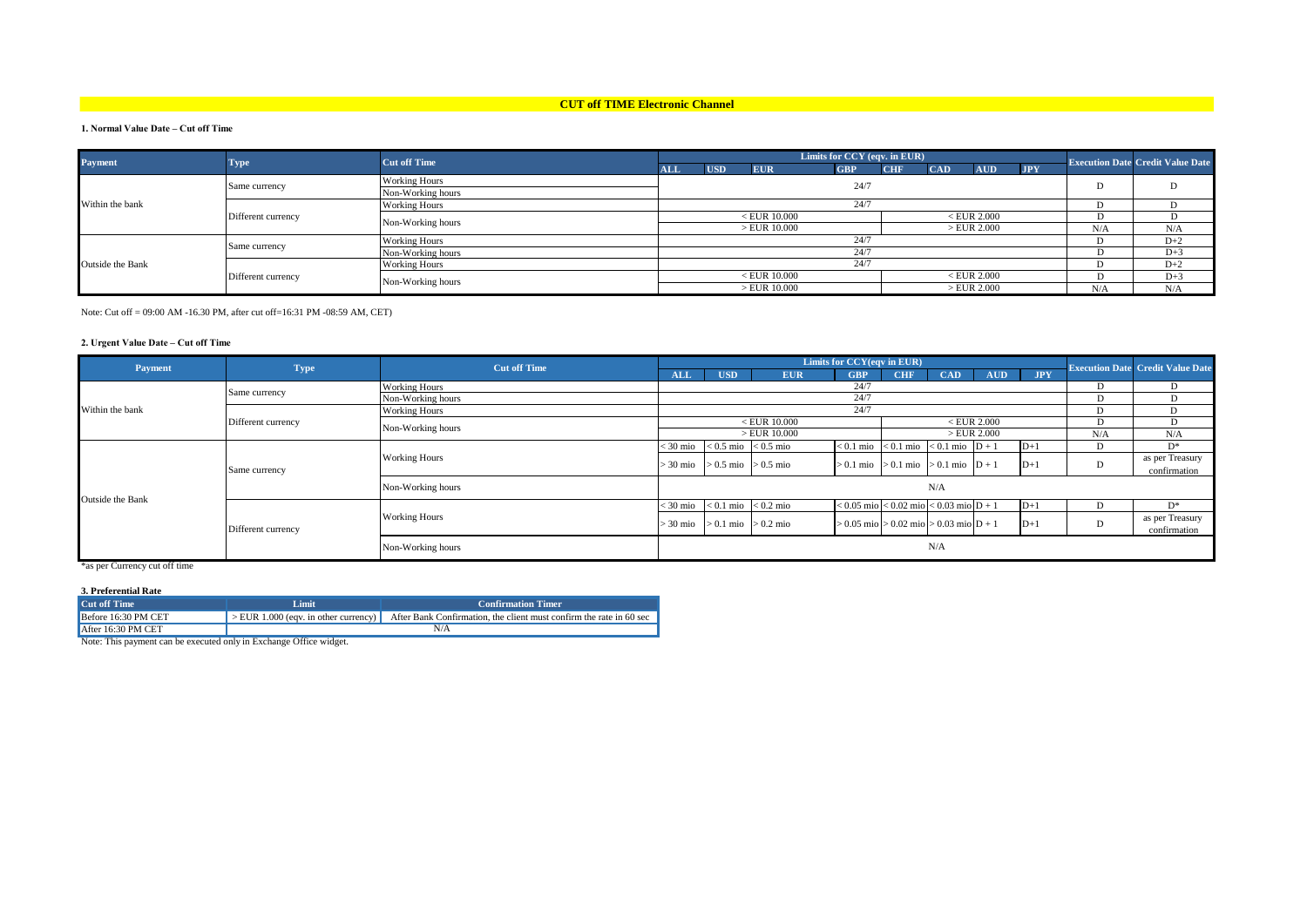## **CUT off TIME Electronic Channel**

### **1. Normal Value Date – Cut off Time**

| <b>Payment</b>   | <b>Type</b>        | <b>Cut off Time</b>  | Limits for CCY (eqv. in EUR)    |            |                |            |            |            |               |            | <b>Execution Date Credit Value Date</b> |       |
|------------------|--------------------|----------------------|---------------------------------|------------|----------------|------------|------------|------------|---------------|------------|-----------------------------------------|-------|
|                  |                    |                      | <b>ALL</b>                      | <b>USD</b> | <b>EUR</b>     | <b>GBP</b> | <b>CHF</b> | <b>CAD</b> | <b>AUD</b>    | <b>JPY</b> |                                         |       |
| Within the bank  | Same currency      | <b>Working Hours</b> |                                 | 24/7       |                |            |            |            |               |            |                                         | D     |
|                  |                    | Non-Working hours    |                                 |            |                |            |            |            |               |            |                                         |       |
|                  | Different currency | <b>Working Hours</b> | 24/7                            |            |                |            |            |            |               |            |                                         |       |
|                  |                    | Non-Working hours    | $<$ EUR 10.000<br>$<$ EUR 2.000 |            |                |            |            |            |               |            |                                         |       |
|                  |                    |                      |                                 |            | $>$ EUR 10.000 |            |            |            | >EUR 2.000    |            | N/A                                     | N/A   |
| Outside the Bank | Same currency      | <b>Working Hours</b> | 24/7                            |            |                |            |            |            |               | $D+2$      |                                         |       |
|                  |                    | Non-Working hours    | 24/7                            |            |                |            |            |            | $D+3$         |            |                                         |       |
|                  | Different currency | <b>Working Hours</b> | 24/7                            |            |                |            |            |            |               | $D+2$      |                                         |       |
|                  |                    | Non-Working hours    |                                 |            | $<$ EUR 10.000 |            |            |            | $<$ EUR 2.000 |            |                                         | $D+3$ |
|                  |                    |                      |                                 |            | $>EUR$ 10.000  |            |            |            | >EUR 2.000    |            | N/A                                     | N/A   |

Note: Cut off = 09:00 AM -16.30 PM, after cut off=16:31 PM -08:59 AM, CET)

#### **2. Urgent Value Date – Cut off Time**

| Payment          | <b>Type</b>        | <b>Cut off Time</b>  | Limits for CCY(eqv in EUR) |                                                                           |                         |            |                                                |                 |               | <b>Execution Date Credit Value Date</b> |              |                 |
|------------------|--------------------|----------------------|----------------------------|---------------------------------------------------------------------------|-------------------------|------------|------------------------------------------------|-----------------|---------------|-----------------------------------------|--------------|-----------------|
|                  |                    |                      | <b>ALL</b>                 | <b>USD</b>                                                                | <b>EUR</b>              | <b>GBP</b> | <b>CHF</b>                                     | <b>CAD</b>      | <b>AUD</b>    | <b>JPY</b>                              |              |                 |
|                  | Same currency      | <b>Working Hours</b> |                            | 24/7<br>D<br>D                                                            |                         |            |                                                |                 |               |                                         |              |                 |
|                  |                    | Non-Working hours    |                            |                                                                           |                         | 24/7       |                                                |                 |               |                                         | D            | D               |
| Within the bank  | Different currency | <b>Working Hours</b> |                            | 24/7<br>D                                                                 |                         |            |                                                |                 |               |                                         |              |                 |
|                  |                    | Non-Working hours    |                            |                                                                           | $<$ EUR 10.000          |            |                                                |                 | $<$ EUR 2.000 |                                         | D            | D               |
|                  |                    |                      |                            |                                                                           | $>EUR$ 10.000           |            |                                                |                 | >EUR 2.000    |                                         | N/A          | N/A             |
| Outside the Bank | Same currency      | <b>Working Hours</b> | < 30 mio                   |                                                                           | $< 0.5$ mio $< 0.5$ mio |            | $< 0.1$ mio $< 0.1$ mio $< 0.1$ mio $D + 1$    |                 |               | $ID+1$                                  |              | $D^*$           |
|                  |                    |                      | 30 mio                     | $> 0.5$ mio $> 0.5$ mio                                                   |                         |            | $> 0.1$ mio $> 0.1$ mio $> 0.1$ mio $D + 1$    |                 |               | $D+1$                                   |              | as per Treasury |
|                  |                    |                      |                            |                                                                           |                         |            |                                                |                 |               |                                         | confirmation |                 |
|                  |                    | Non-Working hours    | N/A                        |                                                                           |                         |            |                                                |                 |               |                                         |              |                 |
|                  |                    |                      |                            |                                                                           |                         |            |                                                |                 |               |                                         |              |                 |
|                  | Different currency |                      | 30 mio                     |                                                                           | $< 0.1$ mio $< 0.2$ mio |            | $< 0.05$ mio $< 0.02$ mio $< 0.03$ mio $D + 1$ |                 |               | $\mathbf{D} + \mathbf{D}$               |              | D*              |
|                  |                    | <b>Working Hours</b> | > 30 mio                   | $> 0.1$ mio $> 0.2$ mio<br>$> 0.05$ mio $> 0.02$ mio $> 0.03$ mio $D + 1$ |                         | $D+1$      |                                                | as per Treasury |               |                                         |              |                 |
|                  |                    |                      |                            |                                                                           |                         |            |                                                |                 |               |                                         |              | confirmation    |
|                  |                    | Non-Working hours    |                            | N/A                                                                       |                         |            |                                                |                 |               |                                         |              |                 |
|                  |                    |                      |                            |                                                                           |                         |            |                                                |                 |               |                                         |              |                 |

\*as per Currency cut off time

#### **3. Preferential Rate**

| Cut off Time                                                       | Limit                                                | <b>Confirmation Timer</b>                                           |  |  |  |  |  |
|--------------------------------------------------------------------|------------------------------------------------------|---------------------------------------------------------------------|--|--|--|--|--|
| Before 16:30 PM CET                                                | $\vert$ > EUR 1.000 (eqv. in other currency) $\vert$ | After Bank Confirmation, the client must confirm the rate in 60 sec |  |  |  |  |  |
| After 16:30 PM CET                                                 |                                                      | N/A                                                                 |  |  |  |  |  |
| Note: This payment can be executed only in Exchange Office widget. |                                                      |                                                                     |  |  |  |  |  |